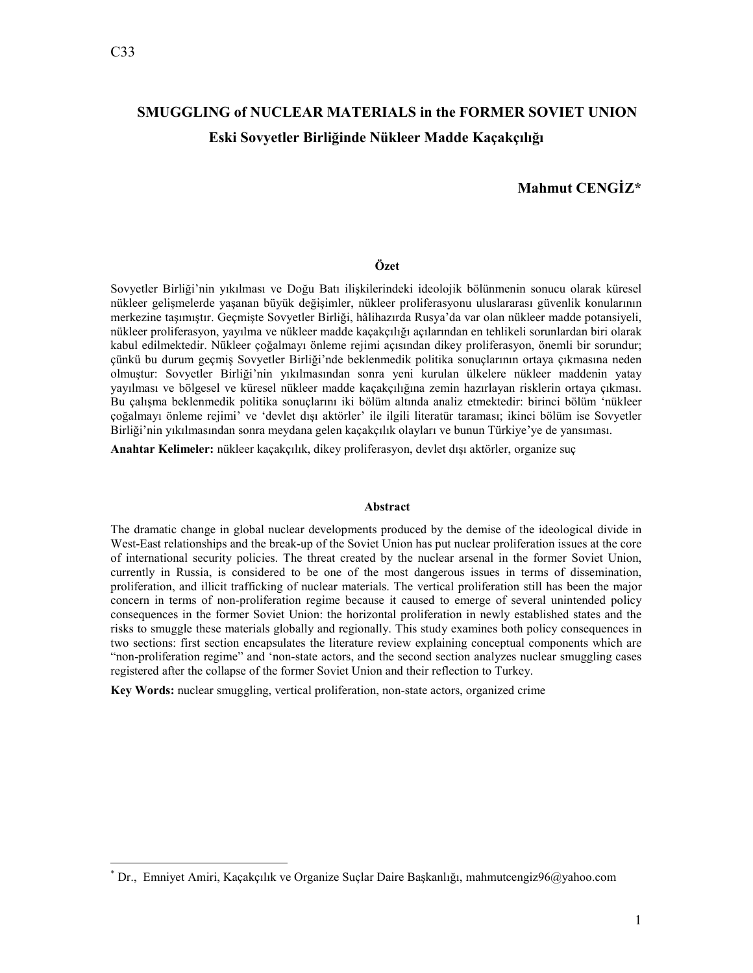<u>.</u>

# **SMUGGLING of NUCLEAR MATERIALS in the FORMER SOVIET UNION Eski Sovyetler Birliğinde ükleer Madde Kaçakçılığı**

# **Mahmut CENGİZ\***

## **Özet**

Sovyetler Birliği'nin yıkılması ve Doğu Batı ilişkilerindeki ideolojik bölünmenin sonucu olarak küresel nükleer gelişmelerde yaşanan büyük değişimler, nükleer proliferasyonu uluslararası güvenlik konularının merkezine taşımıştır. Geçmişte Sovyetler Birliği, hâlihazırda Rusya'da var olan nükleer madde potansiyeli, nükleer proliferasyon, yayılma ve nükleer madde kaçakçılığı açılarından en tehlikeli sorunlardan biri olarak kabul edilmektedir. Nükleer çoğalmayı önleme rejimi açısından dikey proliferasyon, önemli bir sorundur; çünkü bu durum geçmiş Sovyetler Birliği'nde beklenmedik politika sonuçlarının ortaya çıkmasına neden olmuştur: Sovyetler Birliği'nin yıkılmasından sonra yeni kurulan ülkelere nükleer maddenin yatay yayılması ve bölgesel ve küresel nükleer madde kaçakçılığına zemin hazırlayan risklerin ortaya çıkması. Bu çalışma beklenmedik politika sonuçlarını iki bölüm altında analiz etmektedir: birinci bölüm 'nükleer çoğalmayı önleme rejimi' ve 'devlet dışı aktörler' ile ilgili literatür taraması; ikinci bölüm ise Sovyetler Birliği'nin yıkılmasından sonra meydana gelen kaçakçılık olayları ve bunun Türkiye'ye de yansıması.

**Anahtar Kelimeler:** nükleer kaçakçılık, dikey proliferasyon, devlet dışı aktörler, organize suç

#### **Abstract**

The dramatic change in global nuclear developments produced by the demise of the ideological divide in West-East relationships and the break-up of the Soviet Union has put nuclear proliferation issues at the core of international security policies. The threat created by the nuclear arsenal in the former Soviet Union, currently in Russia, is considered to be one of the most dangerous issues in terms of dissemination, proliferation, and illicit trafficking of nuclear materials. The vertical proliferation still has been the major concern in terms of non-proliferation regime because it caused to emerge of several unintended policy consequences in the former Soviet Union: the horizontal proliferation in newly established states and the risks to smuggle these materials globally and regionally. This study examines both policy consequences in two sections: first section encapsulates the literature review explaining conceptual components which are "non-proliferation regime" and 'non-state actors, and the second section analyzes nuclear smuggling cases registered after the collapse of the former Soviet Union and their reflection to Turkey.

**Key Words:** nuclear smuggling, vertical proliferation, non-state actors, organized crime

<sup>\*</sup> Dr., Emniyet Amiri, Kaçakçılık ve Organize Suçlar Daire Başkanlığı, mahmutcengiz96@yahoo.com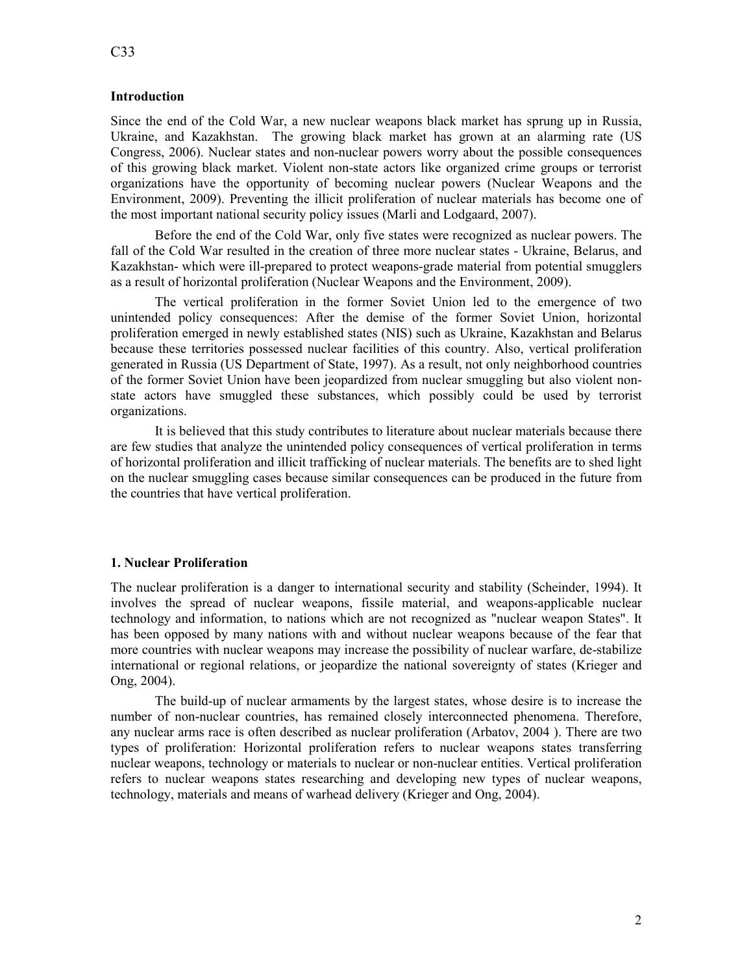# **Introduction**

Since the end of the Cold War, a new nuclear weapons black market has sprung up in Russia, Ukraine, and Kazakhstan. The growing black market has grown at an alarming rate (US Congress, 2006). Nuclear states and non-nuclear powers worry about the possible consequences of this growing black market. Violent non-state actors like organized crime groups or terrorist organizations have the opportunity of becoming nuclear powers (Nuclear Weapons and the Environment, 2009). Preventing the illicit proliferation of nuclear materials has become one of the most important national security policy issues (Marli and Lodgaard, 2007).

Before the end of the Cold War, only five states were recognized as nuclear powers. The fall of the Cold War resulted in the creation of three more nuclear states - Ukraine, Belarus, and Kazakhstan- which were ill-prepared to protect weapons-grade material from potential smugglers as a result of horizontal proliferation (Nuclear Weapons and the Environment, 2009).

The vertical proliferation in the former Soviet Union led to the emergence of two unintended policy consequences: After the demise of the former Soviet Union, horizontal proliferation emerged in newly established states (NIS) such as Ukraine, Kazakhstan and Belarus because these territories possessed nuclear facilities of this country. Also, vertical proliferation generated in Russia (US Department of State, 1997). As a result, not only neighborhood countries of the former Soviet Union have been jeopardized from nuclear smuggling but also violent nonstate actors have smuggled these substances, which possibly could be used by terrorist organizations.

It is believed that this study contributes to literature about nuclear materials because there are few studies that analyze the unintended policy consequences of vertical proliferation in terms of horizontal proliferation and illicit trafficking of nuclear materials. The benefits are to shed light on the nuclear smuggling cases because similar consequences can be produced in the future from the countries that have vertical proliferation.

# **1. uclear Proliferation**

The nuclear proliferation is a danger to international security and stability (Scheinder, 1994). It involves the spread of nuclear weapons, fissile material, and weapons-applicable nuclear technology and information, to nations which are not recognized as "nuclear weapon States". It has been opposed by many nations with and without nuclear weapons because of the fear that more countries with nuclear weapons may increase the possibility of nuclear warfare, de-stabilize international or regional relations, or jeopardize the national sovereignty of states (Krieger and Ong, 2004).

The build-up of nuclear armaments by the largest states, whose desire is to increase the number of non-nuclear countries, has remained closely interconnected phenomena. Therefore, any nuclear arms race is often described as nuclear proliferation (Arbatov, 2004 ). There are two types of proliferation: Horizontal proliferation refers to nuclear weapons states transferring nuclear weapons, technology or materials to nuclear or non-nuclear entities. Vertical proliferation refers to nuclear weapons states researching and developing new types of nuclear weapons, technology, materials and means of warhead delivery (Krieger and Ong, 2004).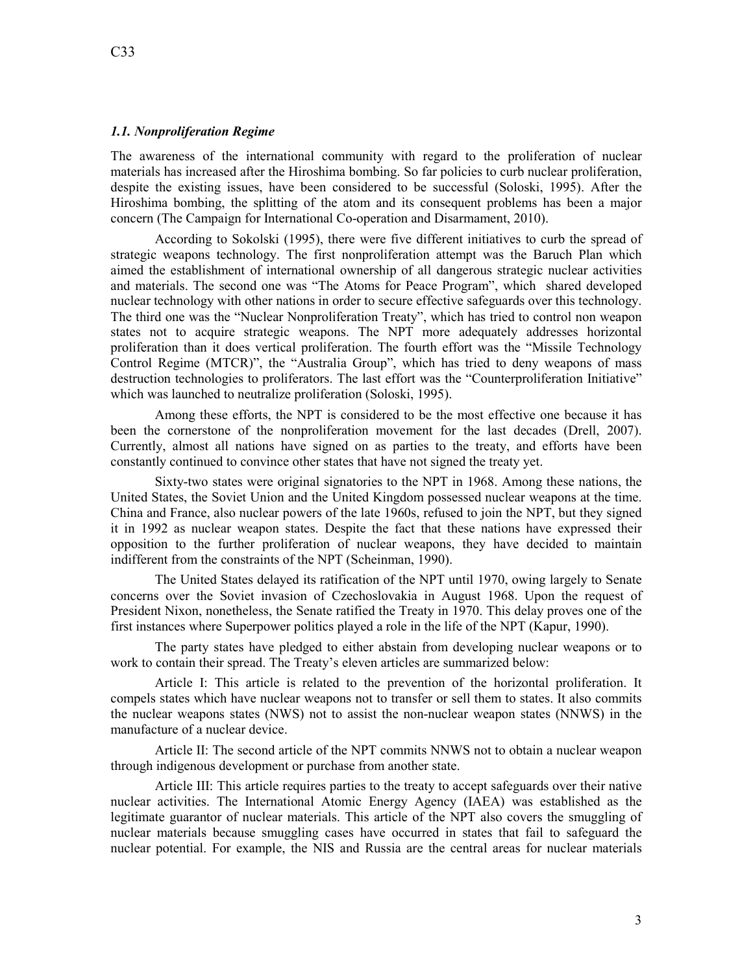# **1.1. Nonproliferation Regime**

The awareness of the international community with regard to the proliferation of nuclear materials has increased after the Hiroshima bombing. So far policies to curb nuclear proliferation, despite the existing issues, have been considered to be successful (Soloski, 1995). After the Hiroshima bombing, the splitting of the atom and its consequent problems has been a major concern (The Campaign for International Co-operation and Disarmament, 2010).

According to Sokolski (1995), there were five different initiatives to curb the spread of strategic weapons technology. The first nonproliferation attempt was the Baruch Plan which aimed the establishment of international ownership of all dangerous strategic nuclear activities and materials. The second one was "The Atoms for Peace Program", which shared developed nuclear technology with other nations in order to secure effective safeguards over this technology. The third one was the "Nuclear Nonproliferation Treaty", which has tried to control non weapon states not to acquire strategic weapons. The NPT more adequately addresses horizontal proliferation than it does vertical proliferation. The fourth effort was the "Missile Technology Control Regime (MTCR)", the "Australia Group", which has tried to deny weapons of mass destruction technologies to proliferators. The last effort was the "Counterproliferation Initiative" which was launched to neutralize proliferation (Soloski, 1995).

Among these efforts, the NPT is considered to be the most effective one because it has been the cornerstone of the nonproliferation movement for the last decades (Drell, 2007). Currently, almost all nations have signed on as parties to the treaty, and efforts have been constantly continued to convince other states that have not signed the treaty yet.

Sixty-two states were original signatories to the NPT in 1968. Among these nations, the United States, the Soviet Union and the United Kingdom possessed nuclear weapons at the time. China and France, also nuclear powers of the late 1960s, refused to join the NPT, but they signed it in 1992 as nuclear weapon states. Despite the fact that these nations have expressed their opposition to the further proliferation of nuclear weapons, they have decided to maintain indifferent from the constraints of the NPT (Scheinman, 1990).

The United States delayed its ratification of the NPT until 1970, owing largely to Senate concerns over the Soviet invasion of Czechoslovakia in August 1968. Upon the request of President Nixon, nonetheless, the Senate ratified the Treaty in 1970. This delay proves one of the first instances where Superpower politics played a role in the life of the NPT (Kapur, 1990).

The party states have pledged to either abstain from developing nuclear weapons or to work to contain their spread. The Treaty's eleven articles are summarized below:

Article I: This article is related to the prevention of the horizontal proliferation. It compels states which have nuclear weapons not to transfer or sell them to states. It also commits the nuclear weapons states (NWS) not to assist the non-nuclear weapon states (NNWS) in the manufacture of a nuclear device.

Article II: The second article of the NPT commits NNWS not to obtain a nuclear weapon through indigenous development or purchase from another state.

Article III: This article requires parties to the treaty to accept safeguards over their native nuclear activities. The International Atomic Energy Agency (IAEA) was established as the legitimate guarantor of nuclear materials. This article of the NPT also covers the smuggling of nuclear materials because smuggling cases have occurred in states that fail to safeguard the nuclear potential. For example, the NIS and Russia are the central areas for nuclear materials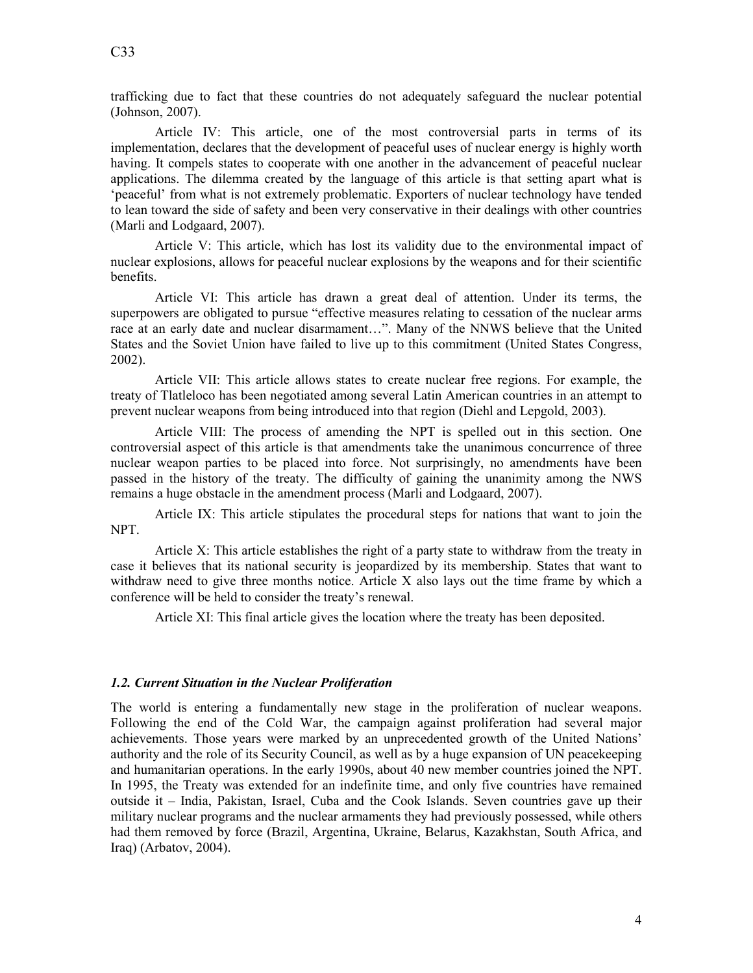trafficking due to fact that these countries do not adequately safeguard the nuclear potential (Johnson, 2007).

Article IV: This article, one of the most controversial parts in terms of its implementation, declares that the development of peaceful uses of nuclear energy is highly worth having. It compels states to cooperate with one another in the advancement of peaceful nuclear applications. The dilemma created by the language of this article is that setting apart what is 'peaceful' from what is not extremely problematic. Exporters of nuclear technology have tended to lean toward the side of safety and been very conservative in their dealings with other countries (Marli and Lodgaard, 2007).

Article V: This article, which has lost its validity due to the environmental impact of nuclear explosions, allows for peaceful nuclear explosions by the weapons and for their scientific benefits.

Article VI: This article has drawn a great deal of attention. Under its terms, the superpowers are obligated to pursue "effective measures relating to cessation of the nuclear arms race at an early date and nuclear disarmament…". Many of the NNWS believe that the United States and the Soviet Union have failed to live up to this commitment (United States Congress, 2002).

Article VII: This article allows states to create nuclear free regions. For example, the treaty of Tlatleloco has been negotiated among several Latin American countries in an attempt to prevent nuclear weapons from being introduced into that region (Diehl and Lepgold, 2003).

Article VIII: The process of amending the NPT is spelled out in this section. One controversial aspect of this article is that amendments take the unanimous concurrence of three nuclear weapon parties to be placed into force. Not surprisingly, no amendments have been passed in the history of the treaty. The difficulty of gaining the unanimity among the NWS remains a huge obstacle in the amendment process (Marli and Lodgaard, 2007).

Article IX: This article stipulates the procedural steps for nations that want to join the NPT.

Article X: This article establishes the right of a party state to withdraw from the treaty in case it believes that its national security is jeopardized by its membership. States that want to withdraw need to give three months notice. Article X also lays out the time frame by which a conference will be held to consider the treaty's renewal.

Article XI: This final article gives the location where the treaty has been deposited.

# 1.2. Current Situation in the Nuclear Proliferation

The world is entering a fundamentally new stage in the proliferation of nuclear weapons. Following the end of the Cold War, the campaign against proliferation had several major achievements. Those years were marked by an unprecedented growth of the United Nations' authority and the role of its Security Council, as well as by a huge expansion of UN peacekeeping and humanitarian operations. In the early 1990s, about 40 new member countries joined the NPT. In 1995, the Treaty was extended for an indefinite time, and only five countries have remained outside it – India, Pakistan, Israel, Cuba and the Cook Islands. Seven countries gave up their military nuclear programs and the nuclear armaments they had previously possessed, while others had them removed by force (Brazil, Argentina, Ukraine, Belarus, Kazakhstan, South Africa, and Iraq) (Arbatov, 2004).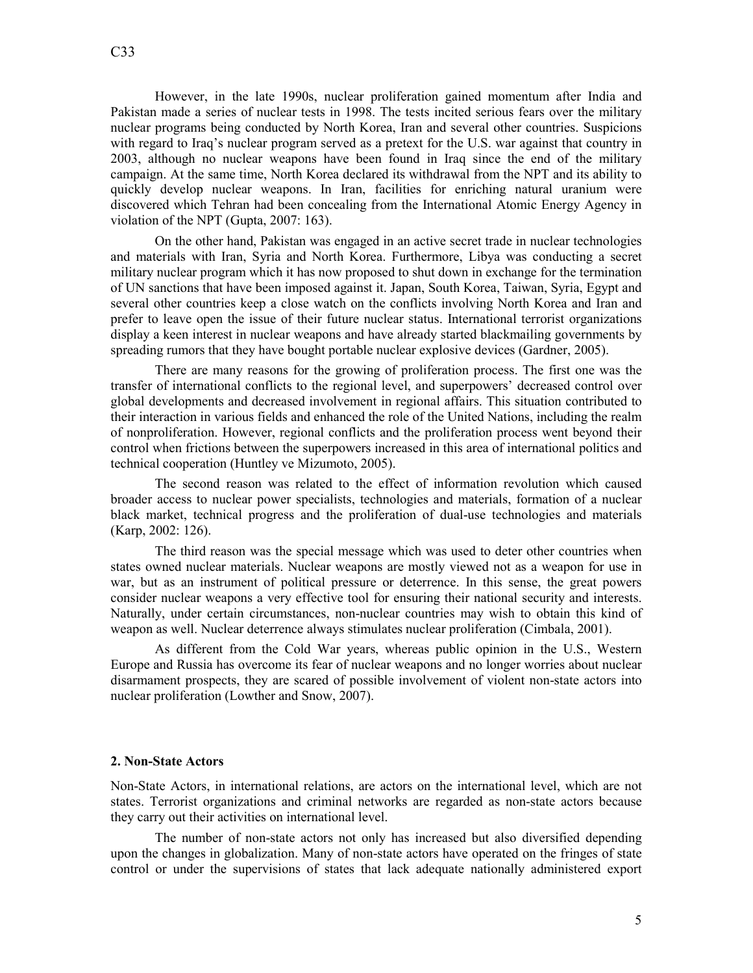However, in the late 1990s, nuclear proliferation gained momentum after India and Pakistan made a series of nuclear tests in 1998. The tests incited serious fears over the military nuclear programs being conducted by North Korea, Iran and several other countries. Suspicions with regard to Iraq's nuclear program served as a pretext for the U.S. war against that country in 2003, although no nuclear weapons have been found in Iraq since the end of the military campaign. At the same time, North Korea declared its withdrawal from the NPT and its ability to quickly develop nuclear weapons. In Iran, facilities for enriching natural uranium were discovered which Tehran had been concealing from the International Atomic Energy Agency in violation of the NPT (Gupta, 2007: 163).

On the other hand, Pakistan was engaged in an active secret trade in nuclear technologies and materials with Iran, Syria and North Korea. Furthermore, Libya was conducting a secret military nuclear program which it has now proposed to shut down in exchange for the termination of UN sanctions that have been imposed against it. Japan, South Korea, Taiwan, Syria, Egypt and several other countries keep a close watch on the conflicts involving North Korea and Iran and prefer to leave open the issue of their future nuclear status. International terrorist organizations display a keen interest in nuclear weapons and have already started blackmailing governments by spreading rumors that they have bought portable nuclear explosive devices (Gardner, 2005).

There are many reasons for the growing of proliferation process. The first one was the transfer of international conflicts to the regional level, and superpowers' decreased control over global developments and decreased involvement in regional affairs. This situation contributed to their interaction in various fields and enhanced the role of the United Nations, including the realm of nonproliferation. However, regional conflicts and the proliferation process went beyond their control when frictions between the superpowers increased in this area of international politics and technical cooperation (Huntley ve Mizumoto, 2005).

The second reason was related to the effect of information revolution which caused broader access to nuclear power specialists, technologies and materials, formation of a nuclear black market, technical progress and the proliferation of dual-use technologies and materials (Karp, 2002: 126).

The third reason was the special message which was used to deter other countries when states owned nuclear materials. Nuclear weapons are mostly viewed not as a weapon for use in war, but as an instrument of political pressure or deterrence. In this sense, the great powers consider nuclear weapons a very effective tool for ensuring their national security and interests. Naturally, under certain circumstances, non-nuclear countries may wish to obtain this kind of weapon as well. Nuclear deterrence always stimulates nuclear proliferation (Cimbala, 2001).

As different from the Cold War years, whereas public opinion in the U.S., Western Europe and Russia has overcome its fear of nuclear weapons and no longer worries about nuclear disarmament prospects, they are scared of possible involvement of violent non-state actors into nuclear proliferation (Lowther and Snow, 2007).

#### **2. Non-State Actors**

Non-State Actors, in international relations, are actors on the international level, which are not states. Terrorist organizations and criminal networks are regarded as non-state actors because they carry out their activities on international level.

The number of non-state actors not only has increased but also diversified depending upon the changes in globalization. Many of non-state actors have operated on the fringes of state control or under the supervisions of states that lack adequate nationally administered export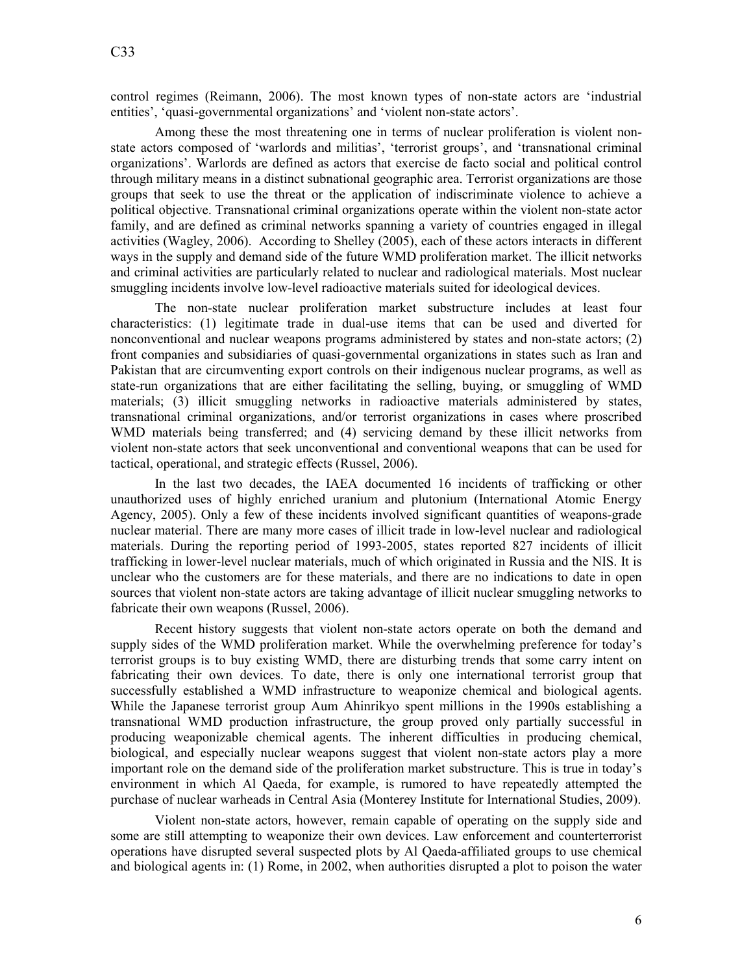control regimes (Reimann, 2006). The most known types of non-state actors are 'industrial entities', 'quasi-governmental organizations' and 'violent non-state actors'.

Among these the most threatening one in terms of nuclear proliferation is violent nonstate actors composed of 'warlords and militias', 'terrorist groups', and 'transnational criminal organizations'. Warlords are defined as actors that exercise de facto social and political control through military means in a distinct subnational geographic area. Terrorist organizations are those groups that seek to use the threat or the application of indiscriminate violence to achieve a political objective. Transnational criminal organizations operate within the violent non-state actor family, and are defined as criminal networks spanning a variety of countries engaged in illegal activities (Wagley, 2006). According to Shelley (2005), each of these actors interacts in different ways in the supply and demand side of the future WMD proliferation market. The illicit networks and criminal activities are particularly related to nuclear and radiological materials. Most nuclear smuggling incidents involve low-level radioactive materials suited for ideological devices.

The non-state nuclear proliferation market substructure includes at least four characteristics: (1) legitimate trade in dual-use items that can be used and diverted for nonconventional and nuclear weapons programs administered by states and non-state actors; (2) front companies and subsidiaries of quasi-governmental organizations in states such as Iran and Pakistan that are circumventing export controls on their indigenous nuclear programs, as well as state-run organizations that are either facilitating the selling, buying, or smuggling of WMD materials; (3) illicit smuggling networks in radioactive materials administered by states, transnational criminal organizations, and/or terrorist organizations in cases where proscribed WMD materials being transferred; and (4) servicing demand by these illicit networks from violent non-state actors that seek unconventional and conventional weapons that can be used for tactical, operational, and strategic effects (Russel, 2006).

In the last two decades, the IAEA documented 16 incidents of trafficking or other unauthorized uses of highly enriched uranium and plutonium (International Atomic Energy Agency, 2005). Only a few of these incidents involved significant quantities of weapons-grade nuclear material. There are many more cases of illicit trade in low-level nuclear and radiological materials. During the reporting period of 1993-2005, states reported 827 incidents of illicit trafficking in lower-level nuclear materials, much of which originated in Russia and the NIS. It is unclear who the customers are for these materials, and there are no indications to date in open sources that violent non-state actors are taking advantage of illicit nuclear smuggling networks to fabricate their own weapons (Russel, 2006).

Recent history suggests that violent non-state actors operate on both the demand and supply sides of the WMD proliferation market. While the overwhelming preference for today's terrorist groups is to buy existing WMD, there are disturbing trends that some carry intent on fabricating their own devices. To date, there is only one international terrorist group that successfully established a WMD infrastructure to weaponize chemical and biological agents. While the Japanese terrorist group Aum Ahinrikyo spent millions in the 1990s establishing a transnational WMD production infrastructure, the group proved only partially successful in producing weaponizable chemical agents. The inherent difficulties in producing chemical, biological, and especially nuclear weapons suggest that violent non-state actors play a more important role on the demand side of the proliferation market substructure. This is true in today's environment in which Al Qaeda, for example, is rumored to have repeatedly attempted the purchase of nuclear warheads in Central Asia (Monterey Institute for International Studies, 2009).

Violent non-state actors, however, remain capable of operating on the supply side and some are still attempting to weaponize their own devices. Law enforcement and counterterrorist operations have disrupted several suspected plots by Al Qaeda-affiliated groups to use chemical and biological agents in: (1) Rome, in 2002, when authorities disrupted a plot to poison the water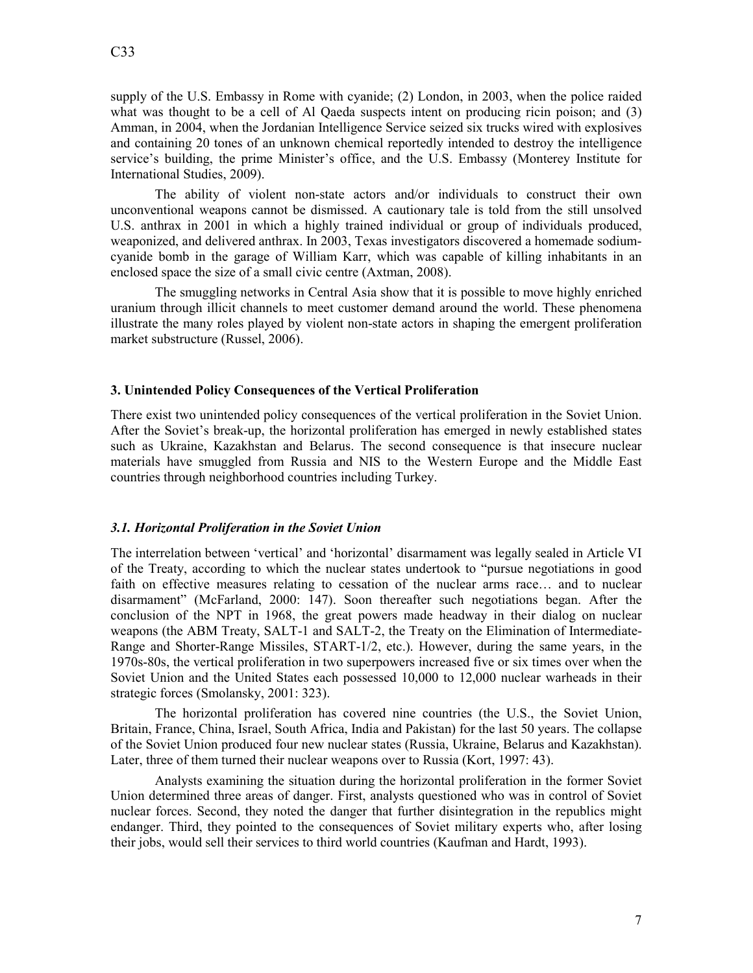supply of the U.S. Embassy in Rome with cyanide; (2) London, in 2003, when the police raided what was thought to be a cell of Al Qaeda suspects intent on producing ricin poison; and (3) Amman, in 2004, when the Jordanian Intelligence Service seized six trucks wired with explosives and containing 20 tones of an unknown chemical reportedly intended to destroy the intelligence service's building, the prime Minister's office, and the U.S. Embassy (Monterey Institute for International Studies, 2009).

The ability of violent non-state actors and/or individuals to construct their own unconventional weapons cannot be dismissed. A cautionary tale is told from the still unsolved U.S. anthrax in 2001 in which a highly trained individual or group of individuals produced, weaponized, and delivered anthrax. In 2003, Texas investigators discovered a homemade sodiumcyanide bomb in the garage of William Karr, which was capable of killing inhabitants in an enclosed space the size of a small civic centre (Axtman, 2008).

The smuggling networks in Central Asia show that it is possible to move highly enriched uranium through illicit channels to meet customer demand around the world. These phenomena illustrate the many roles played by violent non-state actors in shaping the emergent proliferation market substructure (Russel, 2006).

## **3. Unintended Policy Consequences of the Vertical Proliferation**

There exist two unintended policy consequences of the vertical proliferation in the Soviet Union. After the Soviet's break-up, the horizontal proliferation has emerged in newly established states such as Ukraine, Kazakhstan and Belarus. The second consequence is that insecure nuclear materials have smuggled from Russia and NIS to the Western Europe and the Middle East countries through neighborhood countries including Turkey.

## *3.1. Horizontal Proliferation in the Soviet Union*

The interrelation between 'vertical' and 'horizontal' disarmament was legally sealed in Article VI of the Treaty, according to which the nuclear states undertook to "pursue negotiations in good faith on effective measures relating to cessation of the nuclear arms race… and to nuclear disarmament" (McFarland, 2000: 147). Soon thereafter such negotiations began. After the conclusion of the NPT in 1968, the great powers made headway in their dialog on nuclear weapons (the ABM Treaty, SALT-1 and SALT-2, the Treaty on the Elimination of Intermediate-Range and Shorter-Range Missiles, START-1/2, etc.). However, during the same years, in the 1970s-80s, the vertical proliferation in two superpowers increased five or six times over when the Soviet Union and the United States each possessed 10,000 to 12,000 nuclear warheads in their strategic forces (Smolansky, 2001: 323).

The horizontal proliferation has covered nine countries (the U.S., the Soviet Union, Britain, France, China, Israel, South Africa, India and Pakistan) for the last 50 years. The collapse of the Soviet Union produced four new nuclear states (Russia, Ukraine, Belarus and Kazakhstan). Later, three of them turned their nuclear weapons over to Russia (Kort, 1997: 43).

Analysts examining the situation during the horizontal proliferation in the former Soviet Union determined three areas of danger. First, analysts questioned who was in control of Soviet nuclear forces. Second, they noted the danger that further disintegration in the republics might endanger. Third, they pointed to the consequences of Soviet military experts who, after losing their jobs, would sell their services to third world countries (Kaufman and Hardt, 1993).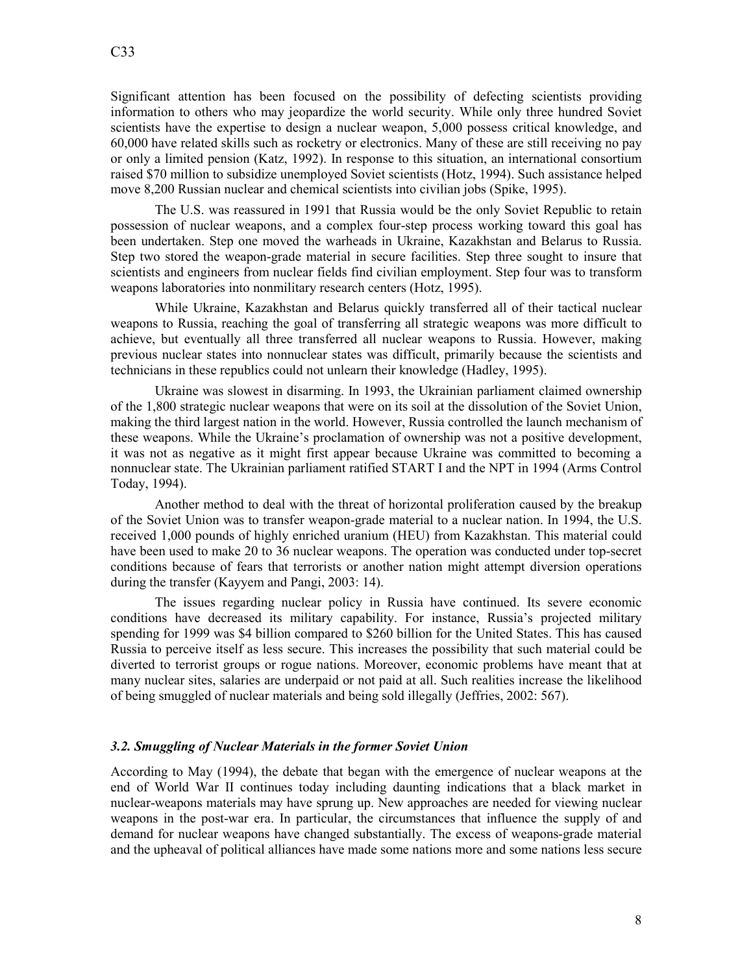Significant attention has been focused on the possibility of defecting scientists providing information to others who may jeopardize the world security. While only three hundred Soviet scientists have the expertise to design a nuclear weapon, 5,000 possess critical knowledge, and 60,000 have related skills such as rocketry or electronics. Many of these are still receiving no pay or only a limited pension (Katz, 1992). In response to this situation, an international consortium raised \$70 million to subsidize unemployed Soviet scientists (Hotz, 1994). Such assistance helped move 8,200 Russian nuclear and chemical scientists into civilian jobs (Spike, 1995).

The U.S. was reassured in 1991 that Russia would be the only Soviet Republic to retain possession of nuclear weapons, and a complex four-step process working toward this goal has been undertaken. Step one moved the warheads in Ukraine, Kazakhstan and Belarus to Russia. Step two stored the weapon-grade material in secure facilities. Step three sought to insure that scientists and engineers from nuclear fields find civilian employment. Step four was to transform weapons laboratories into nonmilitary research centers (Hotz, 1995).

While Ukraine, Kazakhstan and Belarus quickly transferred all of their tactical nuclear weapons to Russia, reaching the goal of transferring all strategic weapons was more difficult to achieve, but eventually all three transferred all nuclear weapons to Russia. However, making previous nuclear states into nonnuclear states was difficult, primarily because the scientists and technicians in these republics could not unlearn their knowledge (Hadley, 1995).

Ukraine was slowest in disarming. In 1993, the Ukrainian parliament claimed ownership of the 1,800 strategic nuclear weapons that were on its soil at the dissolution of the Soviet Union, making the third largest nation in the world. However, Russia controlled the launch mechanism of these weapons. While the Ukraine's proclamation of ownership was not a positive development, it was not as negative as it might first appear because Ukraine was committed to becoming a nonnuclear state. The Ukrainian parliament ratified START I and the NPT in 1994 (Arms Control Today, 1994).

Another method to deal with the threat of horizontal proliferation caused by the breakup of the Soviet Union was to transfer weapon-grade material to a nuclear nation. In 1994, the U.S. received 1,000 pounds of highly enriched uranium (HEU) from Kazakhstan. This material could have been used to make 20 to 36 nuclear weapons. The operation was conducted under top-secret conditions because of fears that terrorists or another nation might attempt diversion operations during the transfer (Kayyem and Pangi, 2003: 14).

The issues regarding nuclear policy in Russia have continued. Its severe economic conditions have decreased its military capability. For instance, Russia's projected military spending for 1999 was \$4 billion compared to \$260 billion for the United States. This has caused Russia to perceive itself as less secure. This increases the possibility that such material could be diverted to terrorist groups or rogue nations. Moreover, economic problems have meant that at many nuclear sites, salaries are underpaid or not paid at all. Such realities increase the likelihood of being smuggled of nuclear materials and being sold illegally (Jeffries, 2002: 567).

## **3.2. Smuggling of Nuclear Materials in the former Soviet Union**

According to May (1994), the debate that began with the emergence of nuclear weapons at the end of World War II continues today including daunting indications that a black market in nuclear-weapons materials may have sprung up. New approaches are needed for viewing nuclear weapons in the post-war era. In particular, the circumstances that influence the supply of and demand for nuclear weapons have changed substantially. The excess of weapons-grade material and the upheaval of political alliances have made some nations more and some nations less secure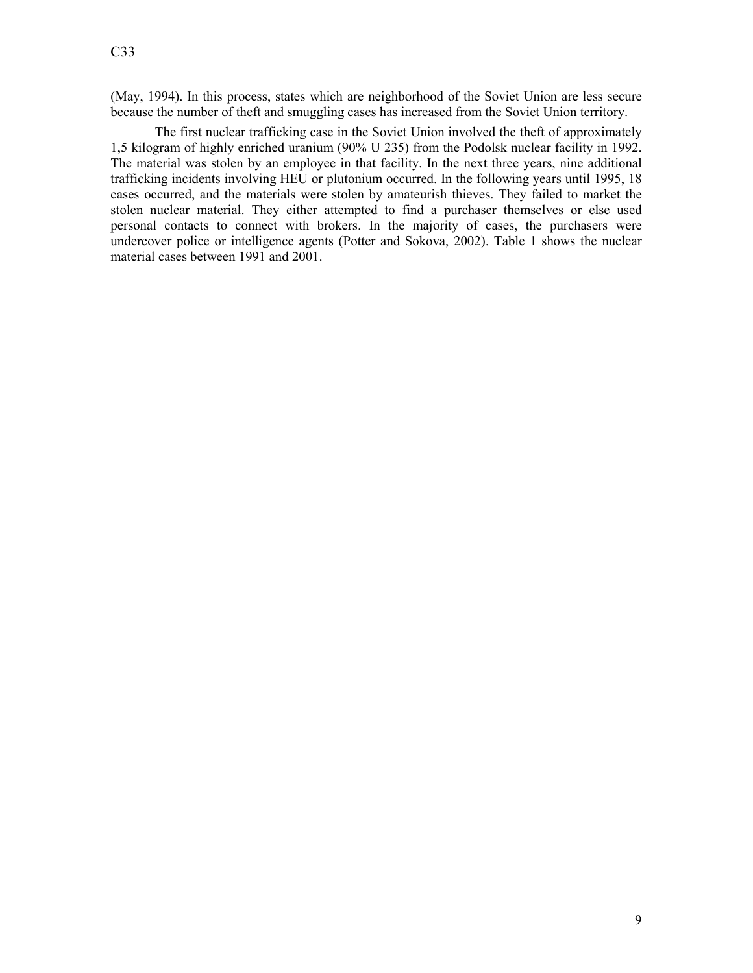(May, 1994). In this process, states which are neighborhood of the Soviet Union are less secure because the number of theft and smuggling cases has increased from the Soviet Union territory.

The first nuclear trafficking case in the Soviet Union involved the theft of approximately 1,5 kilogram of highly enriched uranium (90% U 235) from the Podolsk nuclear facility in 1992. The material was stolen by an employee in that facility. In the next three years, nine additional trafficking incidents involving HEU or plutonium occurred. In the following years until 1995, 18 cases occurred, and the materials were stolen by amateurish thieves. They failed to market the stolen nuclear material. They either attempted to find a purchaser themselves or else used personal contacts to connect with brokers. In the majority of cases, the purchasers were undercover police or intelligence agents (Potter and Sokova, 2002). Table 1 shows the nuclear material cases between 1991 and 2001.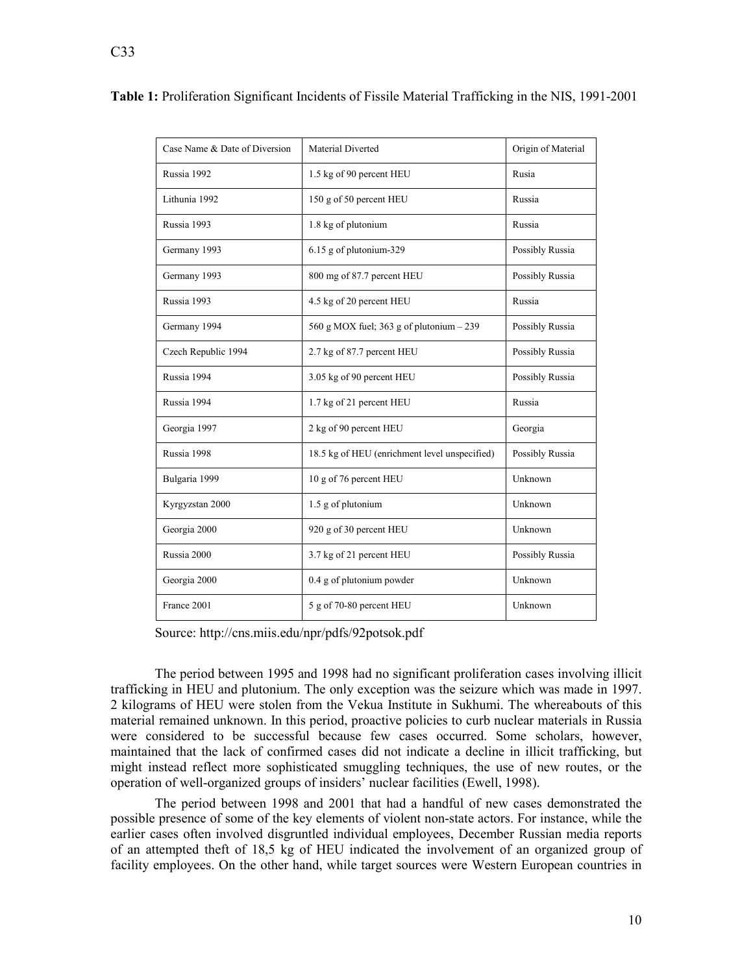| Case Name & Date of Diversion | Material Diverted                             | Origin of Material |
|-------------------------------|-----------------------------------------------|--------------------|
| Russia 1992                   | 1.5 kg of 90 percent HEU                      | Rusia              |
| Lithunia 1992                 | 150 g of 50 percent HEU                       | Russia             |
| Russia 1993                   | 1.8 kg of plutonium                           | Russia             |
| Germany 1993                  | 6.15 g of plutonium-329                       | Possibly Russia    |
| Germany 1993                  | 800 mg of 87.7 percent HEU                    | Possibly Russia    |
| Russia 1993                   | 4.5 kg of 20 percent HEU                      | Russia             |
| Germany 1994                  | 560 g MOX fuel; 363 g of plutonium $-239$     | Possibly Russia    |
| Czech Republic 1994           | 2.7 kg of 87.7 percent HEU                    | Possibly Russia    |
| Russia 1994                   | 3.05 kg of 90 percent HEU                     | Possibly Russia    |
| Russia 1994                   | 1.7 kg of 21 percent HEU                      | Russia             |
| Georgia 1997                  | 2 kg of 90 percent HEU                        | Georgia            |
| Russia 1998                   | 18.5 kg of HEU (enrichment level unspecified) | Possibly Russia    |
| Bulgaria 1999                 | 10 g of 76 percent HEU                        | Unknown            |
| Kyrgyzstan 2000               | 1.5 g of plutonium                            | Unknown            |
| Georgia 2000                  | 920 g of 30 percent HEU                       | Unknown            |
| Russia 2000                   | 3.7 kg of 21 percent HEU                      | Possibly Russia    |
| Georgia 2000                  | 0.4 g of plutonium powder                     | Unknown            |
| France 2001                   | 5 g of 70-80 percent HEU                      | Unknown            |

**Table 1:** Proliferation Significant Incidents of Fissile Material Trafficking in the NIS, 1991-2001

Source: http://cns.miis.edu/npr/pdfs/92potsok.pdf

The period between 1995 and 1998 had no significant proliferation cases involving illicit trafficking in HEU and plutonium. The only exception was the seizure which was made in 1997. 2 kilograms of HEU were stolen from the Vekua Institute in Sukhumi. The whereabouts of this material remained unknown. In this period, proactive policies to curb nuclear materials in Russia were considered to be successful because few cases occurred. Some scholars, however, maintained that the lack of confirmed cases did not indicate a decline in illicit trafficking, but might instead reflect more sophisticated smuggling techniques, the use of new routes, or the operation of well-organized groups of insiders' nuclear facilities (Ewell, 1998).

The period between 1998 and 2001 that had a handful of new cases demonstrated the possible presence of some of the key elements of violent non-state actors. For instance, while the earlier cases often involved disgruntled individual employees, December Russian media reports of an attempted theft of 18,5 kg of HEU indicated the involvement of an organized group of facility employees. On the other hand, while target sources were Western European countries in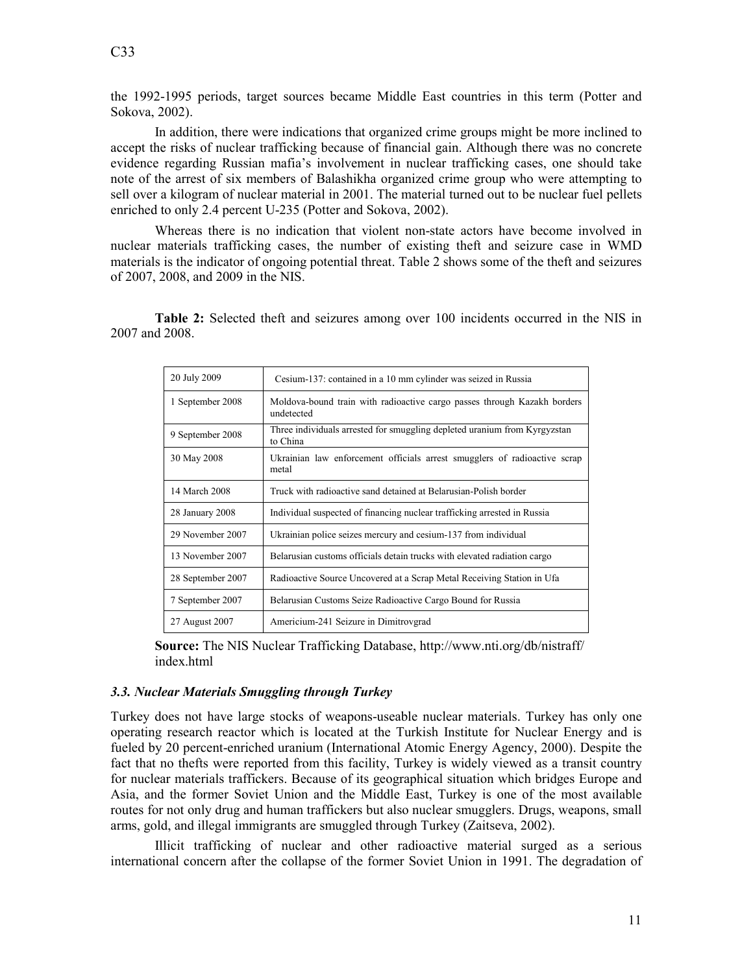the 1992-1995 periods, target sources became Middle East countries in this term (Potter and Sokova, 2002).

In addition, there were indications that organized crime groups might be more inclined to accept the risks of nuclear trafficking because of financial gain. Although there was no concrete evidence regarding Russian mafia's involvement in nuclear trafficking cases, one should take note of the arrest of six members of Balashikha organized crime group who were attempting to sell over a kilogram of nuclear material in 2001. The material turned out to be nuclear fuel pellets enriched to only 2.4 percent U-235 (Potter and Sokova, 2002).

Whereas there is no indication that violent non-state actors have become involved in nuclear materials trafficking cases, the number of existing theft and seizure case in WMD materials is the indicator of ongoing potential threat. Table 2 shows some of the theft and seizures of 2007, 2008, and 2009 in the NIS.

**Table 2:** Selected theft and seizures among over 100 incidents occurred in the NIS in 2007 and 2008.

| 20 July 2009      | Cesium-137: contained in a 10 mm cylinder was seized in Russia                         |
|-------------------|----------------------------------------------------------------------------------------|
| 1 September 2008  | Moldova-bound train with radioactive cargo passes through Kazakh borders<br>undetected |
| 9 September 2008  | Three individuals arrested for smuggling depleted uranium from Kyrgyzstan<br>to China  |
| 30 May 2008       | Ukrainian law enforcement officials arrest smugglers of radioactive scrap<br>metal     |
| 14 March 2008     | Truck with radioactive sand detained at Belarusian-Polish border                       |
| 28 January 2008   | Individual suspected of financing nuclear trafficking arrested in Russia               |
| 29 November 2007  | Ukrainian police seizes mercury and cesium-137 from individual                         |
| 13 November 2007  | Belarusian customs officials detain trucks with elevated radiation cargo               |
| 28 September 2007 | Radioactive Source Uncovered at a Scrap Metal Receiving Station in Ufa                 |
| 7 September 2007  | Belarusian Customs Seize Radioactive Cargo Bound for Russia                            |
| 27 August 2007    | Americium-241 Seizure in Dimitrovgrad                                                  |

**Source:** The NIS Nuclear Trafficking Database, http://www.nti.org/db/nistraff/ index.html

# 3.3. Nuclear Materials Smuggling through Turkey

Turkey does not have large stocks of weapons-useable nuclear materials. Turkey has only one operating research reactor which is located at the Turkish Institute for Nuclear Energy and is fueled by 20 percent-enriched uranium (International Atomic Energy Agency, 2000). Despite the fact that no thefts were reported from this facility, Turkey is widely viewed as a transit country for nuclear materials traffickers. Because of its geographical situation which bridges Europe and Asia, and the former Soviet Union and the Middle East, Turkey is one of the most available routes for not only drug and human traffickers but also nuclear smugglers. Drugs, weapons, small arms, gold, and illegal immigrants are smuggled through Turkey (Zaitseva, 2002).

Illicit trafficking of nuclear and other radioactive material surged as a serious international concern after the collapse of the former Soviet Union in 1991. The degradation of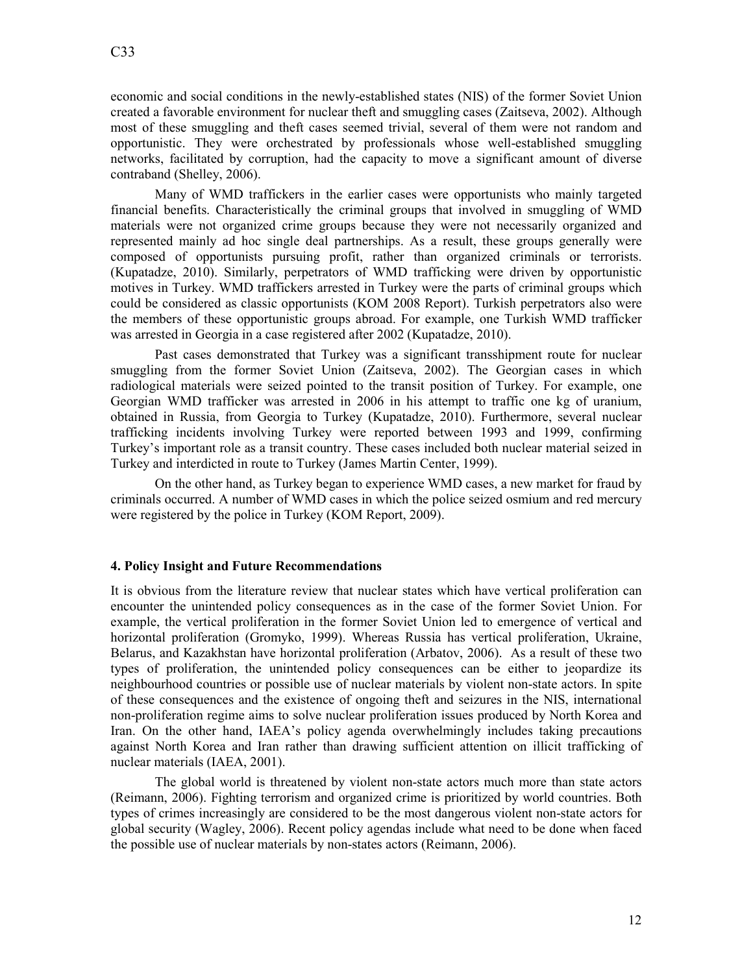economic and social conditions in the newly-established states (NIS) of the former Soviet Union created a favorable environment for nuclear theft and smuggling cases (Zaitseva, 2002). Although most of these smuggling and theft cases seemed trivial, several of them were not random and opportunistic. They were orchestrated by professionals whose well-established smuggling networks, facilitated by corruption, had the capacity to move a significant amount of diverse contraband (Shelley, 2006).

Many of WMD traffickers in the earlier cases were opportunists who mainly targeted financial benefits. Characteristically the criminal groups that involved in smuggling of WMD materials were not organized crime groups because they were not necessarily organized and represented mainly ad hoc single deal partnerships. As a result, these groups generally were composed of opportunists pursuing profit, rather than organized criminals or terrorists. (Kupatadze, 2010). Similarly, perpetrators of WMD trafficking were driven by opportunistic motives in Turkey. WMD traffickers arrested in Turkey were the parts of criminal groups which could be considered as classic opportunists (KOM 2008 Report). Turkish perpetrators also were the members of these opportunistic groups abroad. For example, one Turkish WMD trafficker was arrested in Georgia in a case registered after 2002 (Kupatadze, 2010).

Past cases demonstrated that Turkey was a significant transshipment route for nuclear smuggling from the former Soviet Union (Zaitseva, 2002). The Georgian cases in which radiological materials were seized pointed to the transit position of Turkey. For example, one Georgian WMD trafficker was arrested in 2006 in his attempt to traffic one kg of uranium, obtained in Russia, from Georgia to Turkey (Kupatadze, 2010). Furthermore, several nuclear trafficking incidents involving Turkey were reported between 1993 and 1999, confirming Turkey's important role as a transit country. These cases included both nuclear material seized in Turkey and interdicted in route to Turkey (James Martin Center, 1999).

On the other hand, as Turkey began to experience WMD cases, a new market for fraud by criminals occurred. A number of WMD cases in which the police seized osmium and red mercury were registered by the police in Turkey (KOM Report, 2009).

## **4. Policy Insight and Future Recommendations**

It is obvious from the literature review that nuclear states which have vertical proliferation can encounter the unintended policy consequences as in the case of the former Soviet Union. For example, the vertical proliferation in the former Soviet Union led to emergence of vertical and horizontal proliferation (Gromyko, 1999). Whereas Russia has vertical proliferation, Ukraine, Belarus, and Kazakhstan have horizontal proliferation (Arbatov, 2006). As a result of these two types of proliferation, the unintended policy consequences can be either to jeopardize its neighbourhood countries or possible use of nuclear materials by violent non-state actors. In spite of these consequences and the existence of ongoing theft and seizures in the NIS, international non-proliferation regime aims to solve nuclear proliferation issues produced by North Korea and Iran. On the other hand, IAEA's policy agenda overwhelmingly includes taking precautions against North Korea and Iran rather than drawing sufficient attention on illicit trafficking of nuclear materials (IAEA, 2001).

The global world is threatened by violent non-state actors much more than state actors (Reimann, 2006). Fighting terrorism and organized crime is prioritized by world countries. Both types of crimes increasingly are considered to be the most dangerous violent non-state actors for global security (Wagley, 2006). Recent policy agendas include what need to be done when faced the possible use of nuclear materials by non-states actors (Reimann, 2006).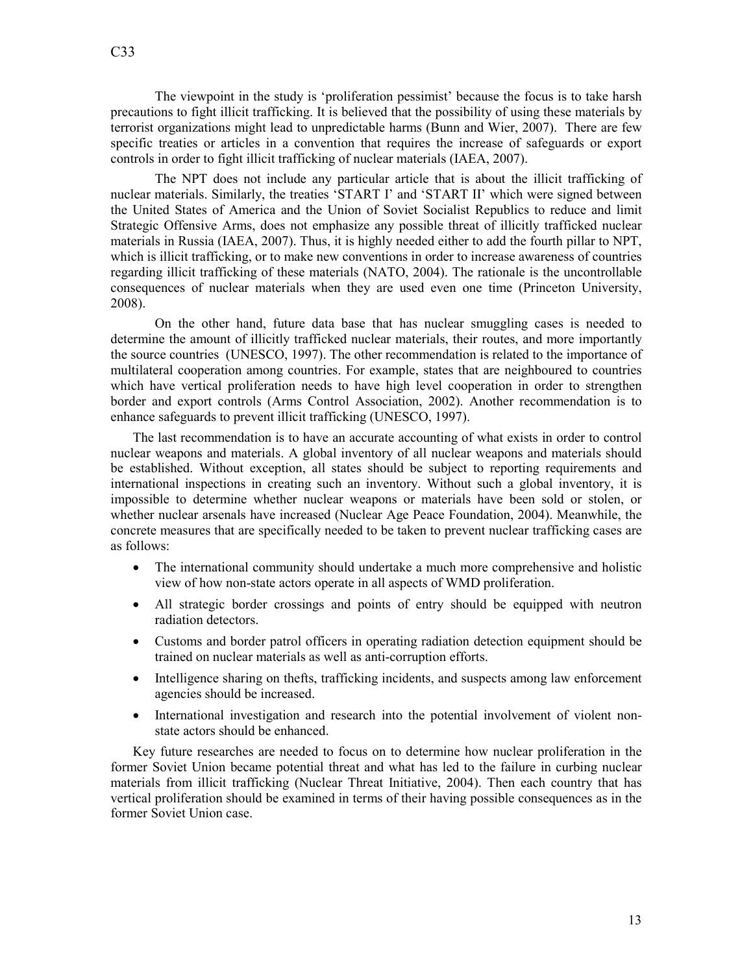The viewpoint in the study is 'proliferation pessimist' because the focus is to take harsh precautions to fight illicit trafficking. It is believed that the possibility of using these materials by terrorist organizations might lead to unpredictable harms (Bunn and Wier, 2007). There are few specific treaties or articles in a convention that requires the increase of safeguards or export controls in order to fight illicit trafficking of nuclear materials (IAEA, 2007).

The NPT does not include any particular article that is about the illicit trafficking of nuclear materials. Similarly, the treaties 'START I' and 'START II' which were signed between the United States of America and the Union of Soviet Socialist Republics to reduce and limit Strategic Offensive Arms, does not emphasize any possible threat of illicitly trafficked nuclear materials in Russia (IAEA, 2007). Thus, it is highly needed either to add the fourth pillar to NPT, which is illicit trafficking, or to make new conventions in order to increase awareness of countries regarding illicit trafficking of these materials (NATO, 2004). The rationale is the uncontrollable consequences of nuclear materials when they are used even one time (Princeton University, 2008).

On the other hand, future data base that has nuclear smuggling cases is needed to determine the amount of illicitly trafficked nuclear materials, their routes, and more importantly the source countries (UNESCO, 1997). The other recommendation is related to the importance of multilateral cooperation among countries. For example, states that are neighboured to countries which have vertical proliferation needs to have high level cooperation in order to strengthen border and export controls (Arms Control Association, 2002). Another recommendation is to enhance safeguards to prevent illicit trafficking (UNESCO, 1997).

The last recommendation is to have an accurate accounting of what exists in order to control nuclear weapons and materials. A global inventory of all nuclear weapons and materials should be established. Without exception, all states should be subject to reporting requirements and international inspections in creating such an inventory. Without such a global inventory, it is impossible to determine whether nuclear weapons or materials have been sold or stolen, or whether nuclear arsenals have increased (Nuclear Age Peace Foundation, 2004). Meanwhile, the concrete measures that are specifically needed to be taken to prevent nuclear trafficking cases are as follows:

- The international community should undertake a much more comprehensive and holistic view of how non-state actors operate in all aspects of WMD proliferation.
- All strategic border crossings and points of entry should be equipped with neutron radiation detectors.
- Customs and border patrol officers in operating radiation detection equipment should be trained on nuclear materials as well as anti-corruption efforts.
- Intelligence sharing on thefts, trafficking incidents, and suspects among law enforcement agencies should be increased.
- International investigation and research into the potential involvement of violent nonstate actors should be enhanced.

Key future researches are needed to focus on to determine how nuclear proliferation in the former Soviet Union became potential threat and what has led to the failure in curbing nuclear materials from illicit trafficking (Nuclear Threat Initiative, 2004). Then each country that has vertical proliferation should be examined in terms of their having possible consequences as in the former Soviet Union case.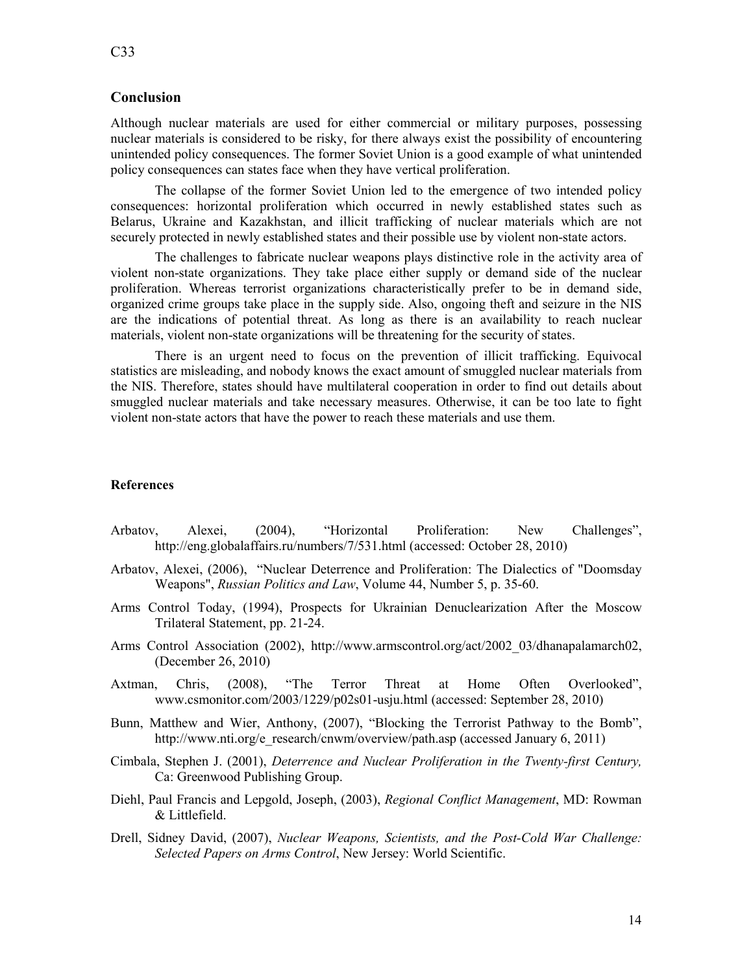# **Conclusion**

Although nuclear materials are used for either commercial or military purposes, possessing nuclear materials is considered to be risky, for there always exist the possibility of encountering unintended policy consequences. The former Soviet Union is a good example of what unintended policy consequences can states face when they have vertical proliferation.

The collapse of the former Soviet Union led to the emergence of two intended policy consequences: horizontal proliferation which occurred in newly established states such as Belarus, Ukraine and Kazakhstan, and illicit trafficking of nuclear materials which are not securely protected in newly established states and their possible use by violent non-state actors.

The challenges to fabricate nuclear weapons plays distinctive role in the activity area of violent non-state organizations. They take place either supply or demand side of the nuclear proliferation. Whereas terrorist organizations characteristically prefer to be in demand side, organized crime groups take place in the supply side. Also, ongoing theft and seizure in the NIS are the indications of potential threat. As long as there is an availability to reach nuclear materials, violent non-state organizations will be threatening for the security of states.

There is an urgent need to focus on the prevention of illicit trafficking. Equivocal statistics are misleading, and nobody knows the exact amount of smuggled nuclear materials from the NIS. Therefore, states should have multilateral cooperation in order to find out details about smuggled nuclear materials and take necessary measures. Otherwise, it can be too late to fight violent non-state actors that have the power to reach these materials and use them.

# **References**

- Arbatov, Alexei, (2004), "Horizontal Proliferation: New Challenges", http://eng.globalaffairs.ru/numbers/7/531.html (accessed: October 28, 2010)
- Arbatov, Alexei, (2006), "Nuclear Deterrence and Proliferation: The Dialectics of "Doomsday Weapons", *Russian Politics and Law*, Volume 44, Number 5, p. 35-60.
- Arms Control Today, (1994), Prospects for Ukrainian Denuclearization After the Moscow Trilateral Statement, pp. 21-24.
- Arms Control Association (2002), http://www.armscontrol.org/act/2002\_03/dhanapalamarch02, (December 26, 2010)
- Axtman, Chris, (2008), "The Terror Threat at Home Often Overlooked", www.csmonitor.com/2003/1229/p02s01-usju.html (accessed: September 28, 2010)
- Bunn, Matthew and Wier, Anthony, (2007), "Blocking the Terrorist Pathway to the Bomb", http://www.nti.org/e\_research/cnwm/overview/path.asp (accessed January 6, 2011)
- Cimbala, Stephen J. (2001), *Deterrence and Nuclear Proliferation in the Twenty-first Century*, Ca: Greenwood Publishing Group.
- Diehl, Paul Francis and Lepgold, Joseph, (2003), *Regional Conflict Management*, MD: Rowman & Littlefield.
- Drell, Sidney David, (2007), *uclear Weapons, Scientists, and the Post-Cold War Challenge: Selected Papers on Arms Control*, New Jersey: World Scientific.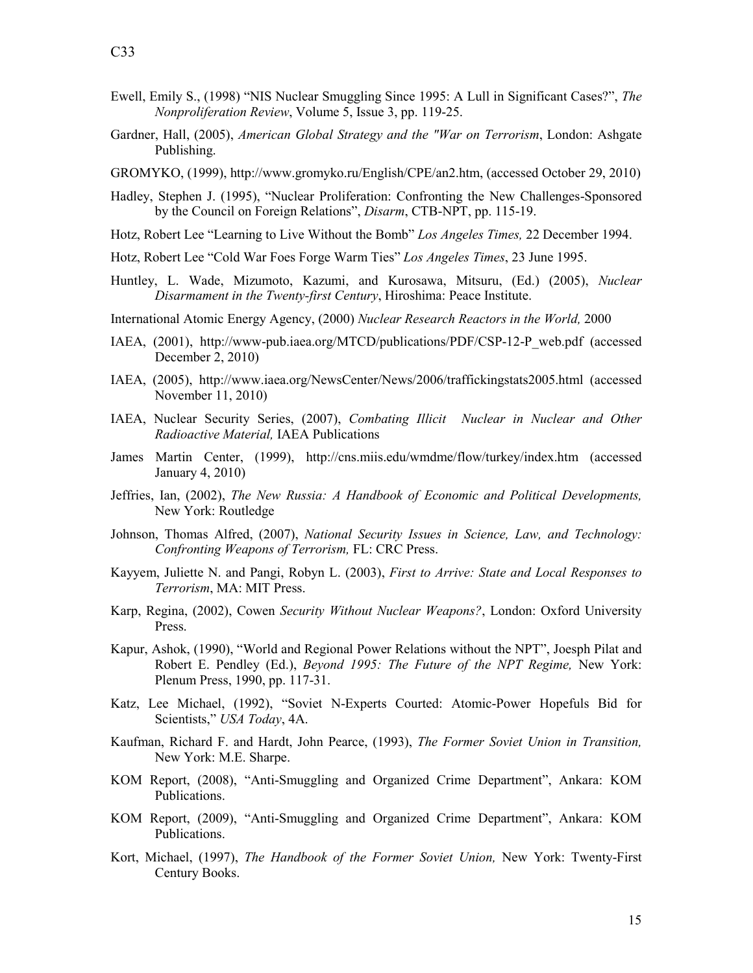- Ewell, Emily S., (1998) "NIS Nuclear Smuggling Since 1995: A Lull in Significant Cases?", *The Nonproliferation Review*, Volume 5, Issue 3, pp. 119-25.
- Gardner, Hall, (2005), *American Global Strategy and the "War on Terrorism*, London: Ashgate Publishing.
- GROMYKO, (1999), http://www.gromyko.ru/English/CPE/an2.htm, (accessed October 29, 2010)
- Hadley, Stephen J. (1995), "Nuclear Proliferation: Confronting the New Challenges-Sponsored by the Council on Foreign Relations", *Disarm*, CTB-NPT, pp. 115-19.
- Hotz, Robert Lee "Learning to Live Without the Bomb" *Los Angeles Times,* 22 December 1994.
- Hotz, Robert Lee "Cold War Foes Forge Warm Ties" *Los Angeles Times*, 23 June 1995.
- Huntley, L. Wade, Mizumoto, Kazumi, and Kurosawa, Mitsuru, (Ed.) (2005), *uclear Disarmament in the Twenty-first Century*, Hiroshima: Peace Institute.
- International Atomic Energy Agency, (2000) *uclear Research Reactors in the World,* 2000
- IAEA, (2001), http://www-pub.iaea.org/MTCD/publications/PDF/CSP-12-P\_web.pdf (accessed December 2, 2010)
- IAEA, (2005), http://www.iaea.org/NewsCenter/News/2006/traffickingstats2005.html (accessed November 11, 2010)
- IAEA, Nuclear Security Series, (2007), *Combating Illicit Nuclear in Nuclear and Other Radioactive Material,* IAEA Publications
- James Martin Center, (1999), http://cns.miis.edu/wmdme/flow/turkey/index.htm (accessed January 4, 2010)
- Jeffries, Ian, (2002), *The New Russia: A Handbook of Economic and Political Developments*, New York: Routledge
- Johnson, Thomas Alfred, (2007), *National Security Issues in Science, Law, and Technology: Confronting Weapons of Terrorism,* FL: CRC Press.
- Kayyem, Juliette N. and Pangi, Robyn L. (2003), *First to Arrive: State and Local Responses to Terrorism*, MA: MIT Press.
- Karp, Regina, (2002), Cowen *Security Without Nuclear Weapons?*, London: Oxford University Press.
- Kapur, Ashok, (1990), "World and Regional Power Relations without the NPT", Joesph Pilat and Robert E. Pendley (Ed.), *Beyond 1995: The Future of the PT Regime,* New York: Plenum Press, 1990, pp. 117-31.
- Katz, Lee Michael, (1992), "Soviet N-Experts Courted: Atomic-Power Hopefuls Bid for Scientists," *USA Today*, 4A.
- Kaufman, Richard F. and Hardt, John Pearce, (1993), *The Former Soviet Union in Transition,* New York: M.E. Sharpe.
- KOM Report, (2008), "Anti-Smuggling and Organized Crime Department", Ankara: KOM Publications.
- KOM Report, (2009), "Anti-Smuggling and Organized Crime Department", Ankara: KOM Publications.
- Kort, Michael, (1997), *The Handbook of the Former Soviet Union,* New York: Twenty-First Century Books.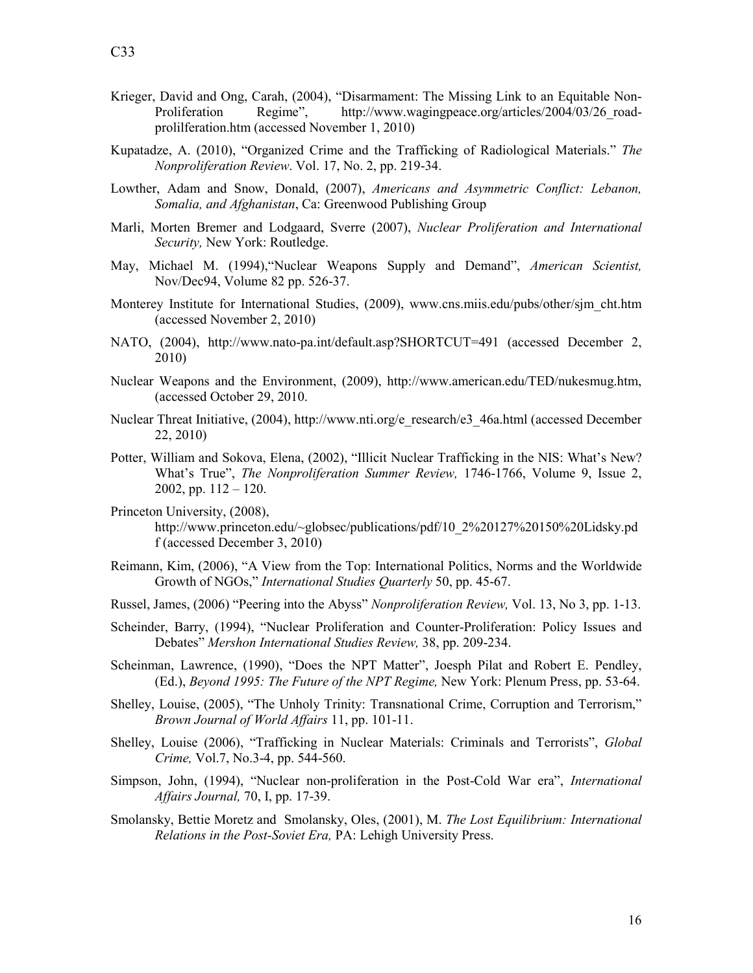- Krieger, David and Ong, Carah, (2004), "Disarmament: The Missing Link to an Equitable Non-Proliferation Regime", http://www.wagingpeace.org/articles/2004/03/26 roadprolilferation.htm (accessed November 1, 2010)
- Kupatadze, A. (2010), "Organized Crime and the Trafficking of Radiological Materials." *The onproliferation Review*. Vol. 17, No. 2, pp. 219-34.
- Lowther, Adam and Snow, Donald, (2007), *Americans and Asymmetric Conflict: Lebanon, Somalia, and Afghanistan*, Ca: Greenwood Publishing Group
- Marli, Morten Bremer and Lodgaard, Sverre (2007), *uclear Proliferation and International Security,* New York: Routledge.
- May, Michael M. (1994),"Nuclear Weapons Supply and Demand", *American Scientist,*  Nov/Dec94, Volume 82 pp. 526-37.
- Monterey Institute for International Studies, (2009), www.cns.miis.edu/pubs/other/sjm\_cht.htm (accessed November 2, 2010)
- NATO, (2004), http://www.nato-pa.int/default.asp?SHORTCUT=491 (accessed December 2, 2010)
- Nuclear Weapons and the Environment, (2009), http://www.american.edu/TED/nukesmug.htm, (accessed October 29, 2010.
- Nuclear Threat Initiative, (2004), http://www.nti.org/e\_research/e3\_46a.html (accessed December 22, 2010)
- Potter, William and Sokova, Elena, (2002), "Illicit Nuclear Trafficking in the NIS: What's New? What's True", *The Nonproliferation Summer Review*, 1746-1766, Volume 9, Issue 2, 2002, pp.  $112 - 120$ .
- Princeton University, (2008), http://www.princeton.edu/~globsec/publications/pdf/10\_2%20127%20150%20Lidsky.pd f (accessed December 3, 2010)
- Reimann, Kim, (2006), "A View from the Top: International Politics, Norms and the Worldwide Growth of NGOs," *International Studies Quarterly* 50, pp. 45-67.
- Russel, James, (2006) "Peering into the Abyss" *Nonproliferation Review*, Vol. 13, No 3, pp. 1-13.
- Scheinder, Barry, (1994), "Nuclear Proliferation and Counter-Proliferation: Policy Issues and Debates" *Mershon International Studies Review,* 38, pp. 209-234.
- Scheinman, Lawrence, (1990), "Does the NPT Matter", Joesph Pilat and Robert E. Pendley, (Ed.), *Beyond 1995: The Future of the PT Regime,* New York: Plenum Press, pp. 53-64.
- Shelley, Louise, (2005), "The Unholy Trinity: Transnational Crime, Corruption and Terrorism," *Brown Journal of World Affairs* 11, pp. 101-11.
- Shelley, Louise (2006), "Trafficking in Nuclear Materials: Criminals and Terrorists", *Global Crime,* Vol.7, No.3-4, pp. 544-560.
- Simpson, John, (1994), "Nuclear non-proliferation in the Post-Cold War era", *International Affairs Journal,* 70, I, pp. 17-39.
- Smolansky, Bettie Moretz and Smolansky, Oles, (2001), M. *The Lost Equilibrium: International Relations in the Post-Soviet Era,* PA: Lehigh University Press.